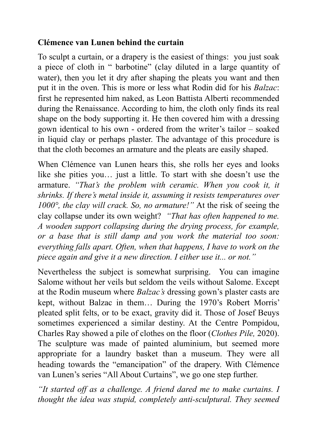## **Clémence van Lunen behind the curtain**

To sculpt a curtain, or a drapery is the easiest of things: you just soak a piece of cloth in " barbotine" (clay diluted in a large quantity of water), then you let it dry after shaping the pleats you want and then put it in the oven. This is more or less what Rodin did for his *Balzac*: first he represented him naked, as Leon Battista Alberti recommended during the Renaissance. According to him, the cloth only finds its real shape on the body supporting it. He then covered him with a dressing gown identical to his own - ordered from the writer's tailor – soaked in liquid clay or perhaps plaster. The advantage of this procedure is that the cloth becomes an armature and the pleats are easily shaped.

When Clémence van Lunen hears this, she rolls her eyes and looks like she pities you… just a little. To start with she doesn't use the armature. *"That's the problem with ceramic. When you cook it, it shrinks. If there's metal inside it, assuming it resists temperatures over 1000°, the clay will crack. So, no armature!"* At the risk of seeing the clay collapse under its own weight? *"That has often happened to me. A wooden support collapsing during the drying process, for example, or a base that is still damp and you work the material too soon: everything falls apart. Often, when that happens, I have to work on the piece again and give it a new direction. I either use it... or not."*

Nevertheless the subject is somewhat surprising. You can imagine Salome without her veils but seldom the veils without Salome. Except at the Rodin museum where *Balzac's* dressing gown's plaster casts are kept, without Balzac in them… During the 1970's Robert Morris' pleated split felts, or to be exact, gravity did it. Those of Josef Beuys sometimes experienced a similar destiny. At the Centre Pompidou, Charles Ray showed a pile of clothes on the floor (*Clothes Pile,* 2020). The sculpture was made of painted aluminium, but seemed more appropriate for a laundry basket than a museum. They were all heading towards the "emancipation" of the drapery. With Clémence van Lunen's series "All About Curtains", we go one step further.

*"It started off as a challenge. A friend dared me to make curtains. I thought the idea was stupid, completely anti-sculptural. They seemed*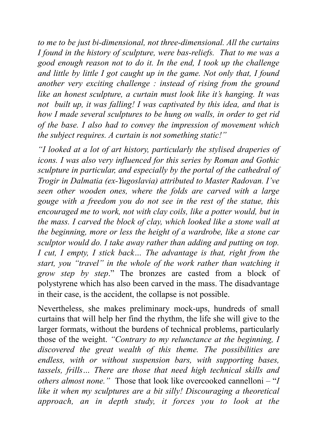*to me to be just bi-dimensional, not three-dimensional. All the curtains I found in the history of sculpture, were bas-reliefs. That to me was a good enough reason not to do it. In the end, I took up the challenge and little by little I got caught up in the game. Not only that, I found another very exciting challenge : instead of rising from the ground like an honest sculpture, a curtain must look like it's hanging. It was not built up, it was falling! I was captivated by this idea, and that is how I made several sculptures to be hung on walls, in order to get rid of the base. I also had to convey the impression of movement which the subject requires. A curtain is not something static!"*

*"I looked at a lot of art history, particularly the stylised draperies of icons. I was also very influenced for this series by Roman and Gothic sculpture in particular, and especially by the portal of the cathedral of Trogir in Dalmatia (ex-Yugoslavia) attributed to Master Radovan. I've seen other wooden ones, where the folds are carved with a large gouge with a freedom you do not see in the rest of the statue, this encouraged me to work, not with clay coils, like a potter would, but in the mass. I carved the block of clay, which looked like a stone wall at the beginning, more or less the height of a wardrobe, like a stone car sculptor would do. I take away rather than adding and putting on top. I cut, I empty, I stick back… The advantage is that, right from the start, you "travel" in the whole of the work rather than watching it grow step by step*." The bronzes are casted from a block of polystyrene which has also been carved in the mass. The disadvantage in their case, is the accident, the collapse is not possible.

Nevertheless, she makes preliminary mock-ups, hundreds of small curtains that will help her find the rhythm, the life she will give to the larger formats, without the burdens of technical problems, particularly those of the weight. *"Contrary to my relunctance at the beginning, I discovered the great wealth of this theme. The possibilities are endless, with or without suspension bars, with supporting bases, tassels, frills… There are those that need high technical skills and others almost none."* Those that look like overcooked cannelloni – "*I like it when my sculptures are a bit silly! Discouraging a theoretical approach, an in depth study, it forces you to look at the*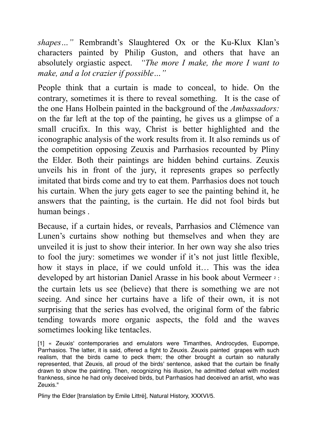*shapes…"* Rembrandt's Slaughtered Ox or the Ku-Klux Klan's characters painted by Philip Guston, and others that have an absolutely orgiastic aspect. *"The more I make, the more I want to make, and a lot crazier if possible…"*

People think that a curtain is made to conceal, to hide. On the contrary, sometimes it is there to reveal something. It is the case of the one Hans Holbein painted in the background of the *Ambassadors:*  on the far left at the top of the painting, he gives us a glimpse of a small crucifix. In this way, Christ is better highlighted and the iconographic analysis of the work results from it. It also reminds us of the competition opposing Zeuxis and Parrhasios recounted by Pliny the Elder. Both their paintings are hidden behind curtains. Zeuxis unveils his in front of the jury, it represents grapes so perfectly imitated that birds come and try to eat them. Parrhasios does not touch his curtain. When the jury gets eager to see the painting behind it, he answers that the painting, is the curtain. He did not fool birds but human beings .

Because, if a curtain hides, or reveals, Parrhasios and Clémence van Lunen's curtains show nothing but themselves and when they are unveiled it is just to show their interior. In her own way she also tries to fool the jury: sometimes we wonder if it's not just little flexible, how it stays in place, if we could unfold it… This was the idea developed by art historian Daniel Arasse in his book about Vermeer <sup>2</sup> : the curtain lets us see (believe) that there is something we are not seeing. And since her curtains have a life of their own, it is not surprising that the series has evolved, the original form of the fabric tending towards more organic aspects, the fold and the waves sometimes looking like tentacles.

[1] « Zeuxis' contemporaries and emulators were Timanthes, Androcydes, Eupompe, Parrhasios. The latter, it is said, offered a fight to Zeuxis. Zeuxis painted grapes with such realism, that the birds came to peck them; the other brought a curtain so naturally represented, that Zeuxis, all proud of the birds' sentence, asked that the curtain be finally drawn to show the painting. Then, recognizing his illusion, he admitted defeat with modest frankness, since he had only deceived birds, but Parrhasios had deceived an artist, who was Zeuxis."

Pliny the Elder [translation by Emile Littré], Natural History, XXXVI/5.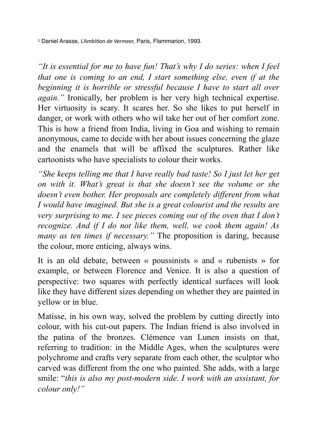<sup>2</sup> Daniel Arasse, *L'Ambition de Vermeer,* Paris, Flammarion, 1993.

*"It is essential for me to have fun! That's why I do series: when I feel that one is coming to an end, I start something else, even if at the beginning it is horrible or stressful because I have to start all over again."* Ironically, her problem is her very high technical expertise. Her virtuosity is scary. It scares her. So she likes to put herself in danger, or work with others who wil take her out of her comfort zone. This is how a friend from India, living in Goa and wishing to remain anonymous, came to decide with her about issues concerning the glaze and the enamels that will be affixed the sculptures. Rather like cartoonists who have specialists to colour their works.

*"She keeps telling me that I have really bad taste! So I just let her get on with it. What's great is that she doesn't see the volume or she doesn't even bother. Her proposals are completely different from what I would have imagined. But she is a great colourist and the results are very surprising to me. I see pieces coming out of the oven that I don't recognize. And if I do not like them, well, we cook them again! As many as ten times if necessary."* The proposition is daring, because the colour, more enticing, always wins.

It is an old debate, between « poussinists » and « rubenists » for example, or between Florence and Venice. It is also a question of perspective: two squares with perfectly identical surfaces will look like they have different sizes depending on whether they are painted in yellow or in blue.

Matisse, in his own way, solved the problem by cutting directly into colour, with his cut-out papers. The Indian friend is also involved in the patina of the bronzes. Clémence van Lunen insists on that, referring to tradition: in the Middle Ages, when the sculptures were polychrome and crafts very separate from each other, the sculptor who carved was different from the one who painted. She adds, with a large smile: "*this is also my post-modern side*. *I work with an assistant, for colour only!"*